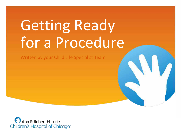# Getting Ready for a Procedure

Written by your Child Life Specialist Team

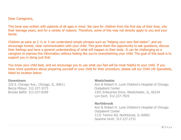### Dear Caregivers,

This book was written with patients of all ages in mind. We care for children from the first day of their lives, into their teenage years, and for a variety of reasons. Therefore, some of this may not directly apply to you and your family.

Children as early as 2 ½ or 3 can understand simple phrases such as "helping your ears feel better", and we encourage honest, clear communication with your child. This gives them the opportunity to ask questions, discuss their feelings and have a general understanding of what will happen to their body. It can be challenging as a caregiver to express this information without feeling like you're overwhelming your child. The goal of this book is to support you in doing just that.

You know your child best, and we encourage you to use what you feel will be most helpful to your child. If you have more questions about preparing yourself or your child for their procedure, please call our Child Life Specialists, listed by location below:

### **Downtown**

225 E. Chicago Ave., Chicago, IL, 60611 Becca Mitsos: 312-227-3273 Brooke Baffa: 312-227-8189

### **Westchester**

Ann & Robert H. Lurie Children's Hospital of Chicago Outpatient Center 2301 Enterprise Drive, Westchester, IL, 60154 Lori Esch: 312-227-7925

### **Northbrook**

Ann & Robert H. Lurie Children's Hospital of Chicago Outpatient Center 1131 Techny Rd, Northbrook, IL 60062 Geanine Hunt: 312-227-2731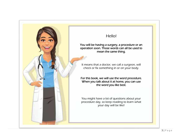

### Hello!

You will be having a surgery, a procedure or an operation soon. Those words can all be used to mean the same thing.

It means that a doctor, we call a surgeon, will check or fix something in or on your body.

For this book, we will use the word procedure. When you talk about it at home, you can use the word you like best.

You might have a lot of questions about your procedure day, so keep reading to learn what your day will be like!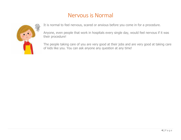# Nervous is Normal



It is normal to feel nervous, scared or anxious before you come in for a procedure.

Anyone, even people that work in hospitals every single day, would feel nervous if it was their procedure!

The people taking care of you are very good at their jobs and are very good at taking care of kids like you. You can ask anyone any question at any time!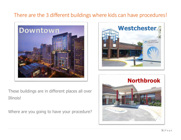# There are the 3 different buildings where kids can have procedures!



These buildings are in different places all over Illinois!

Where are you going to have your procedure?



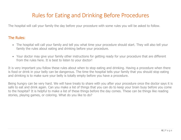# Rules for Eating and Drinking Before Procedures

The hospital will call your family the day before your procedure with some rules you will be asked to follow.

### The Rules:

- The hospital will call your family and tell you what time your procedure should start. They will also tell your family the rules about eating and drinking before your procedure.
- Your doctor may give your family other instructions for getting ready for your procedure that are different from the rules here. It is best to listen to your doctor!

It is very important you follow these rules about when to stop eating and drinking. Having a procedure when there is food or drink in your belly can be dangerous. The time the hospital tells your family that you should stop eating and drinking is to make sure your belly is totally empty before you have a procedure.

Being hungry can be very hard. We will have treats to share with you after your procedure once the doctor says it is safe to eat and drink again. Can you make a list of things that you can do to keep your brain busy before you come to the hospital? It is helpful to make a list of these things before the day comes. These can be things like reading stories, playing games, or coloring. What do you like to do?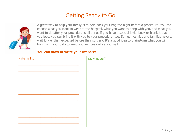# Getting Ready to Go



A great way to help your family is to help pack your bag the night before a procedure. You can choose what you want to wear to the hospital, what you want to bring with you, and what you want to do after your procedure is all done. If you have a special lovie, book or blanket that you love, you can bring it with you to your procedure, too. Sometimes kids and families have to wait longer than expected before their surgery. It's a good idea to brainstorm what you will bring with you to do to keep yourself busy while you wait!

### **You can draw or write your list here!**

| Make my list: | Draw my stuff: |
|---------------|----------------|
|               |                |
|               |                |
|               |                |
|               |                |
|               |                |
|               |                |
|               |                |
|               |                |
|               |                |
|               |                |
|               |                |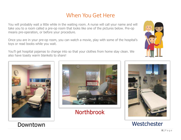# When You Get Here

You will probably wait a little while in the waiting room. A nurse will call your name and will take you to a room called a pre-op room that looks like one of the pictures below. Pre-op means pre-operation, or before your procedure.

Once you are in your pre-op room, you can watch a movie, play with some of the hospital's toys or read books while you wait.

You'll get hospital pajamas to change into so that your clothes from home stay clean. We also have toasty warm blankets to share!





**Northbrook** 





# **Westchester**

Downtown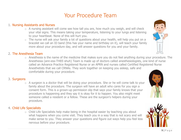# Your Procedure Team

### 1. Nursing Assistants and Nurses

- o A nursing assistant will come see how tall you are, how much you weigh, and will check your vital signs. This means taking your temperature, listening to your lungs and listening to your heartbeat. None of this will hurt you.
- o The nurse will ask your family a lot of questions about your health, will help you put on a bracelet we call an ID band (this has your name and birthday on it), will teach your family more about your procedure day, and will answer questions for you and your family.

### 2. The Anesthesia Team

o Anesthesia is the name of the medicine that makes sure you do not feel anything during your procedure. The Anesthesia (ann-ess-THEE-shuh) Team is made up of doctors called anesthesiologists, one kind of nurse called an Advance Practice Registered Nurse or an APRN and nurses called Certified Registered Nurse Anesthetists that we call CRNAs. They work together on keeping you asleep, safe and comfortable during your procedure.

### 3. Surgeons

o A surgeon is a doctor that will be doing your procedure. She or he will come talk to your family about the procedure. The surgeon will have an adult who cares for you sign a consent form. This is a grown-up permission slip that says your family knows that your procedure is happening and they say it is okay for it to happen. You also might meet someone called a resident or a fellow. These are the surgeon's helpers during your procedure.

### 4. Child Life Specialists

o Child Life Specialists help make being in the hospital easier by teaching you about what happens when you come visit. They teach you in a way that is not scary and will make sense to you. They answer your questions and figure out ways help you feel less nervous before your procedure.

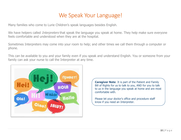# We Speak Your Language!

Many families who come to Lurie Children's speak languages besides English.

We have helpers called *Interpreters* that speak the language you speak at home. They help make sure everyone feels comfortable and understood when they are at the hospital.

Sometimes Interpreters may come into your room to help; and other times we call them through a computer or phone.

This can be available to you and your family even if you speak and understand English. You or someone from your family can ask your nurse to call the Interpreter at any time.



**Caregiver Note**: It is part of the Patient and Family Bill of Rights for us to talk to you, AND for you to talk to us in the language you speak at home and are most comfortable with.

Please let your doctor's office and procedure staff know if you need an Interpreter.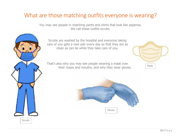# What are those matching outfits everyone is wearing?

You may see people in matching pants and shirts that look like pajamas. We call these outfits scrubs.

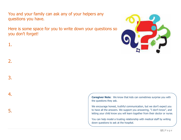You and your family can ask any of your helpers any questions you have.

1.

2.

3.

4.

5.

Here is some space for you to write down your questions so you don't forget!



**Caregiver Note**: We know that kids can sometimes surprise you with the questions they ask.

We encourage honest, truthful communication, but we don't expect you to have all the answers. We support you answering, "I don't know", and letting your child know you will learn together from their doctor or nurse.

You can help model a trusting relationship with medical staff by writing down questions to ask at the hospital.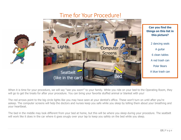# Time for Your Procedure!





When it is time for your procedure, we will say "see you soon!" to your family. While you ride on your bed to the Operating Room, they will go to get the treats for after your procedure. You can bring your favorite stuffed animal or blanket with you!

The red arrows point to the big circle lights like you may have seen at your dentist's office. These won't turn on until after you're asleep. The computer screens will help the doctors and nurses keep you safe while you sleep by telling them about your breathing and your heartbeat.

The bed in the middle may look different from your bed at home, but this will be where you sleep during your procedure. The seatbelt will work like it does in the car where it goes snugly over your lap to keep you safely on the bed while you sleep.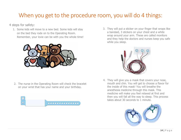# When you get to the procedure room, you will do 4 things:

4 steps for safety:

1. Some kids will move to a new bed. Some kids will stay on the bed they rode on to the Operating Room. Remember, your lovie can be with you the whole time!



2. The nurse in the Operating Room will check the bracelet on your wrist that has your name and your birthday.



3. They will put a sticker on your finger that wraps like a bandaid, 3 stickers on your chest and a white wrap around your arm. These are called monitors and they help the doctors and nurses keep you safe while you sleep.



4. They will give you a mask that covers your nose, mouth and chin. You will get to choose a flavor for the inside of this mask! You will breathe the anesthesia medicine through this mask. This medicine will make you feel relaxed at first and then you will fall all the way to sleep. This process takes about 30 seconds to 1 minute.

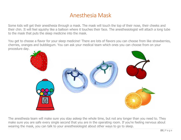# Anesthesia Mask

Some kids will get their anesthesia through a mask. The mask will touch the top of their nose, their cheeks and their chin. It will feel squishy like a balloon where it touches their face. The anesthesiologist will attach a long tube to the mask that puts the sleep medicine into the mask.

You get to choose a flavor for your sleep medicine! There are lots of flavors you can choose from like strawberries, cherries, oranges and bubblegum. You can ask your medical team which ones you can choose from on your procedure day.



The anesthesia team will make sure you stay asleep the whole time, but not any longer than you need to. They make sure you are safe every single second that you are in the operating room. If you're feeling nervous about wearing the mask, you can talk to your anesthesiologist about other ways to go to sleep.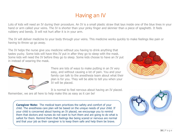# Having an IV

Lots of kids will need an IV during their procedure. An IV is a small plastic straw that lays inside one of the blue lines in your hand or arm called your veins. The IV is shorter than your pinky finger and skinnier than a piece of spaghetti. It feels rubbery and bendy. It will not hurt after it is in your arm.

The IV will deliver medicine to your body through your veins. This medicine works quickly to make feelings like pain or having to throw up go away.

The IV helps the nurse give you medicine without you having to drink anything that tastes yucky. Some kids will have this IV put in after they go to sleep with the mask. Some kids will need the IV before they go to sleep. Some kids choose to have an IV put in instead of wearing the mask.



There are lots of ways to make putting in an IV very easy, and without causing a lot of pain. You and your family can talk to the anesthesia team about what their plan is for you. They will be able to tell you when your IV will be placed.

It is normal to feel nervous about having an IV placed. Remember, we are all here to help make this as easy as it can be!



**Caregiver Note:** The medical team prioritizes the safety and comfort of your child. The anesthesia care plan will be based on the unique needs of your child. If your child is concerned about having an IV placed, we encourage you to remind them that doctors and nurses do not want to hurt them and are going to do what is safest for them. Remind them that feelings like being scared or nervous are normal and that your job as their caregiver is to keep them safe and help them be brave.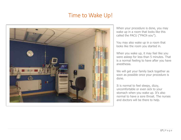# Time to Wake Up!

When your procedure is done, you may wake up in a room that looks like this called the PACU ("PACK-you").

You may also wake up in a room that looks like the room you started in.

When you wake up, it may feel like you were asleep for less than 5 minutes. That is a normal feeling to have after you have anesthesia.

We will get your family back together as soon as possible once your procedure is done.

It is normal to feel sleepy, dizzy, uncomfortable or even sick to your stomach when you wake up. It's also normal to have a sore throat. The nurses and doctors will be there to help.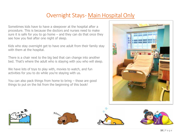# Overnight Stays- Main Hospital Only

Sometimes kids have to have a sleepover at the hospital after a procedure. This is because the doctors and nurses need to make sure it is safe for you to go home  $-$  and they can do that once they see how you feel after one night of sleep.

Kids who stay overnight get to have one adult from their family stay with them at the hospital.

There is a chair next to the big bed that can change into another bed. That's where the adult who is staying with you who will sleep.

We have lots of toys to play with, movies to watch, and fun activities for you to do while you're staying with us.

You can also pack things from home to bring – those are good things to put on the list from the beginning of this book!









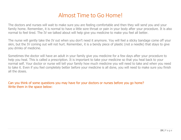# Almost Time to Go Home!

The doctors and nurses will wait to make sure you are feeling comfortable and then they will send you and your family home. Remember, it is normal to have a little sore throat or pain in your body after your procedure. It is also normal to feel tired. The IV we talked about will help give you medicine to make you feel all better.

The nurse will gently take the IV out when you don't need it anymore. You will feel a sticky bandage come off your skin, but the IV coming out will not hurt. Remember, it is a bendy piece of plastic (not a needle) that stays to give you drinks of medicine.

Sometimes the doctor will have an adult in your family give you medicine for a few days after your procedure to help you heal. This is called a prescription. It is important to take your medicine so that you heal back to your normal self. Your doctor or nurse will tell your family how much medicine you will need to take and when you need to take it. Even if you feel completely better before your medicine is all done, you will need to make sure you finish all the doses.

Can you think of some questions you may have for your doctors or nurses before you go home? Write them in the space below: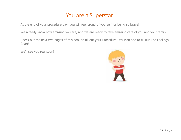# You are a Superstar!

At the end of your procedure day, you will feel proud of yourself for being so brave!

We already know how amazing you are, and we are ready to take amazing care of you and your family.

Check out the next two pages of this book to fill out your Procedure Day Plan and to fill out The Feelings Chart!

We'll see you real soon!

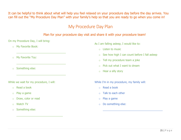It can be helpful to think about what will help you feel relaxed on your procedure day before the day arrives. You can fill out the "My Procedure Day Plan" with your family's help so that you are ready to go when you come in!

## My Procedure Day Plan

### Plan for your procedure day visit and share it with your procedure team!

On my Procedure Day, I will bring:

 $\frac{1}{2}$  ,  $\frac{1}{2}$  ,  $\frac{1}{2}$  ,  $\frac{1}{2}$  ,  $\frac{1}{2}$  ,  $\frac{1}{2}$  ,  $\frac{1}{2}$  ,  $\frac{1}{2}$  ,  $\frac{1}{2}$  ,  $\frac{1}{2}$  ,  $\frac{1}{2}$  ,  $\frac{1}{2}$  ,  $\frac{1}{2}$  ,  $\frac{1}{2}$  ,  $\frac{1}{2}$  ,  $\frac{1}{2}$  ,  $\frac{1}{2}$  ,  $\frac{1}{2}$  ,  $\frac{1$ 

 $\frac{1}{2}$  ,  $\frac{1}{2}$  ,  $\frac{1}{2}$  ,  $\frac{1}{2}$  ,  $\frac{1}{2}$  ,  $\frac{1}{2}$  ,  $\frac{1}{2}$  ,  $\frac{1}{2}$  ,  $\frac{1}{2}$  ,  $\frac{1}{2}$  ,  $\frac{1}{2}$  ,  $\frac{1}{2}$  ,  $\frac{1}{2}$  ,  $\frac{1}{2}$  ,  $\frac{1}{2}$  ,  $\frac{1}{2}$  ,  $\frac{1}{2}$  ,  $\frac{1}{2}$  ,  $\frac{1$ 

 $\frac{1}{2}$  ,  $\frac{1}{2}$  ,  $\frac{1}{2}$  ,  $\frac{1}{2}$  ,  $\frac{1}{2}$  ,  $\frac{1}{2}$  ,  $\frac{1}{2}$  ,  $\frac{1}{2}$  ,  $\frac{1}{2}$  ,  $\frac{1}{2}$  ,  $\frac{1}{2}$  ,  $\frac{1}{2}$  ,  $\frac{1}{2}$  ,  $\frac{1}{2}$  ,  $\frac{1}{2}$  ,  $\frac{1}{2}$  ,  $\frac{1}{2}$  ,  $\frac{1}{2}$  ,  $\frac{1$ 

 $\frac{1}{2}$  ,  $\frac{1}{2}$  ,  $\frac{1}{2}$  ,  $\frac{1}{2}$  ,  $\frac{1}{2}$  ,  $\frac{1}{2}$  ,  $\frac{1}{2}$  ,  $\frac{1}{2}$  ,  $\frac{1}{2}$  ,  $\frac{1}{2}$  ,  $\frac{1}{2}$  ,  $\frac{1}{2}$  ,  $\frac{1}{2}$  ,  $\frac{1}{2}$  ,  $\frac{1}{2}$  ,  $\frac{1}{2}$  ,  $\frac{1}{2}$  ,  $\frac{1}{2}$  ,  $\frac{1$ 

- o My Favorite Book:
- o My Favorite Toy:
- o Something else:

While we wait for my procedure, I will:

- o Read a book
- o Play a game
- o Draw, color or read
- o Watch TV
- o Something else:

As I am falling asleep, I would like to:

- $\circ$  Listen to music
- $\circ$  See how high I can count before I fall asleep

 $\_$  ,  $\_$  ,  $\_$  ,  $\_$  ,  $\_$  ,  $\_$  ,  $\_$  ,  $\_$  ,  $\_$  ,  $\_$  ,  $\_$  ,  $\_$  ,  $\_$  ,  $\_$ 

- o Tell my procedure team a joke
- $\circ$  Pick out what I want to dream
- o Hear a silly story

While I'm in my procedure, my family will:

- o Read a book
- $\circ$  Talk to each other
- o Play a game
- o Do something else: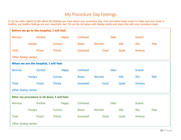# My Procedure Day Feelings

It can be really helpful to talk about the feelings you have about your procedure day. Your procedure team wants to make sure your body is healthy, but healthy feelings are very important, too! Fill out the list below with feeling words and share this with your procedure team.

| Before we go to the hospital, I will feel:   |                |                |                  |         |              |                |     |  |  |
|----------------------------------------------|----------------|----------------|------------------|---------|--------------|----------------|-----|--|--|
| <b>Nervous</b>                               | <b>Excited</b> | <b>Happy</b>   | Confused<br>Glad |         |              | <b>Scared</b>  |     |  |  |
|                                              | <b>Hungry</b>  | <b>Curious</b> | <b>Brave</b>     | Worried | <b>Silly</b> | Shy            | Mad |  |  |
| <b>Tired</b>                                 | Proud          | <b>Thirsty</b> | <b>Surprised</b> | Good    | Quiet        | <b>Anxious</b> |     |  |  |
| Other feeling names:                         |                |                |                  |         |              |                |     |  |  |
| When we are the hospital, I will feel:       |                |                |                  |         |              |                |     |  |  |
| <b>Nervous</b>                               | <b>Excited</b> | <b>Happy</b>   | Confused         | Glad    |              | <b>Scared</b>  |     |  |  |
|                                              | <b>Hungry</b>  | <b>Curious</b> | <b>Brave</b>     | Worried | <b>Silly</b> | Shy            | Mad |  |  |
| <b>Tired</b>                                 | Proud          | <b>Thirsty</b> | <b>Surprised</b> | Good    | Quiet        | <b>Anxious</b> |     |  |  |
| Other feeling names:                         |                |                |                  |         |              |                |     |  |  |
| After my procedure is all done, I will feel: |                |                |                  |         |              |                |     |  |  |
| <b>Nervous</b>                               | <b>Excited</b> | <b>Happy</b>   | Confused         | Glad    |              | <b>Scared</b>  |     |  |  |
|                                              | <b>Hungry</b>  | <b>Curious</b> | <b>Brave</b>     | Worried | <b>Silly</b> | Shy            | Mad |  |  |
| <b>Tired</b>                                 | Proud          | <b>Thirsty</b> | <b>Surprised</b> | Good    | Quiet        | <b>Anxious</b> |     |  |  |
| Other feeling names:                         |                |                |                  |         |              |                |     |  |  |